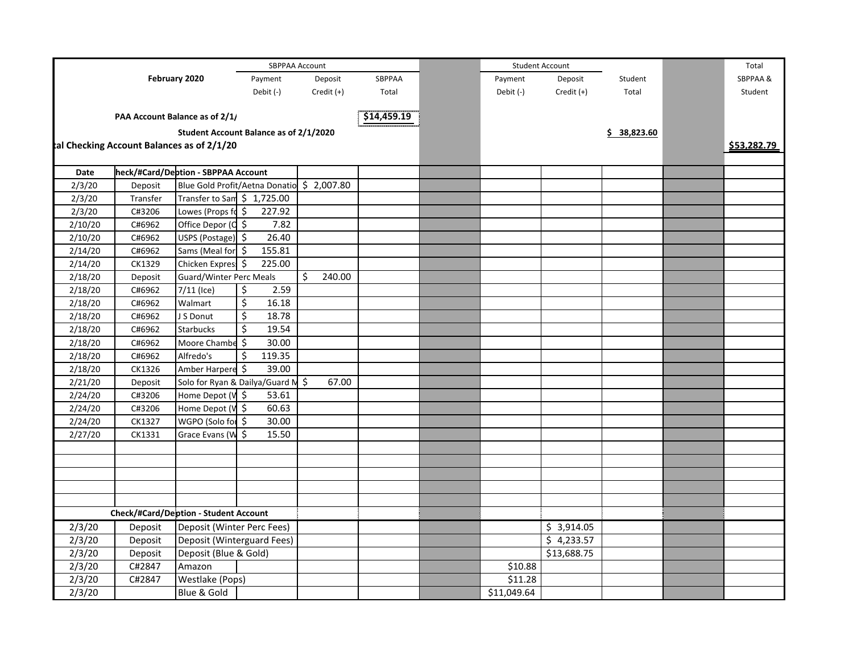|         | SBPPAA Account                               |                                     |                                            |              |             |           | <b>Student Account</b> |             |             | Total       |
|---------|----------------------------------------------|-------------------------------------|--------------------------------------------|--------------|-------------|-----------|------------------------|-------------|-------------|-------------|
|         | February 2020<br>Payment<br>Debit (-)        |                                     | SBPPAA<br>Deposit                          |              |             | Payment   | Deposit                | Student     | SBPPAA&     |             |
|         |                                              |                                     | Credit (+)                                 | Total        |             | Debit (-) | Credit (+)             | Total       | Student     |             |
|         | PAA Account Balance as of 2/1/               |                                     |                                            |              | \$14,459.19 |           |                        |             |             |             |
|         |                                              |                                     | Student Account Balance as of 2/1/2020     |              |             |           |                        |             | \$38,823.60 |             |
|         | tal Checking Account Balances as of 2/1/20   |                                     |                                            |              |             |           |                        |             |             | \$53.282.79 |
| Date    |                                              | heck/#Card/Deption - SBPPAA Account |                                            |              |             |           |                        |             |             |             |
| 2/3/20  | Deposit                                      |                                     | Blue Gold Profit/Aetna Donatio \$ 2,007.80 |              |             |           |                        |             |             |             |
| 2/3/20  | Transfer                                     | Transfer to Sam \$ 1,725.00         |                                            |              |             |           |                        |             |             |             |
| 2/3/20  | C#3206                                       | Lowes (Props fo \$                  | 227.92                                     |              |             |           |                        |             |             |             |
| 2/10/20 | C#6962                                       | Office Depor (C \$                  | 7.82                                       |              |             |           |                        |             |             |             |
| 2/10/20 | C#6962                                       | USPS (Postage) \$                   | 26.40                                      |              |             |           |                        |             |             |             |
| 2/14/20 | C#6962                                       | Sams (Meal for \$                   | 155.81                                     |              |             |           |                        |             |             |             |
| 2/14/20 | CK1329                                       | Chicken Expres!                     | 225.00<br>S.                               |              |             |           |                        |             |             |             |
| 2/18/20 | Deposit                                      | Guard/Winter Perc Meals             |                                            | Ś.<br>240.00 |             |           |                        |             |             |             |
| 2/18/20 | C#6962                                       | $7/11$ (Ice)                        | \$<br>2.59                                 |              |             |           |                        |             |             |             |
| 2/18/20 | C#6962                                       | Walmart                             | \$<br>16.18                                |              |             |           |                        |             |             |             |
| 2/18/20 | C#6962                                       | J S Donut                           | \$<br>18.78                                |              |             |           |                        |             |             |             |
| 2/18/20 | C#6962                                       | <b>Starbucks</b>                    | \$<br>19.54                                |              |             |           |                        |             |             |             |
| 2/18/20 | C#6962                                       | Moore Chambe                        | \$<br>30.00                                |              |             |           |                        |             |             |             |
| 2/18/20 | C#6962                                       | Alfredo's                           | \$<br>119.35                               |              |             |           |                        |             |             |             |
| 2/18/20 | CK1326                                       | Amber Harpere \$                    | 39.00                                      |              |             |           |                        |             |             |             |
| 2/21/20 | Deposit                                      |                                     | Solo for Ryan & Dailya/Guard M             | \$<br>67.00  |             |           |                        |             |             |             |
| 2/24/20 | C#3206                                       | Home Depot (V \$                    | 53.61                                      |              |             |           |                        |             |             |             |
| 2/24/20 | C#3206                                       | Home Depot (V \$                    | 60.63                                      |              |             |           |                        |             |             |             |
| 2/24/20 | CK1327                                       | WGPO (Solo for \$                   | 30.00                                      |              |             |           |                        |             |             |             |
| 2/27/20 | CK1331                                       | Grace Evans (W                      | 15.50<br>\$                                |              |             |           |                        |             |             |             |
|         |                                              |                                     |                                            |              |             |           |                        |             |             |             |
|         |                                              |                                     |                                            |              |             |           |                        |             |             |             |
|         |                                              |                                     |                                            |              |             |           |                        |             |             |             |
|         |                                              |                                     |                                            |              |             |           |                        |             |             |             |
|         |                                              |                                     |                                            |              |             |           |                        |             |             |             |
|         | <b>Check/#Card/Deption - Student Account</b> |                                     |                                            |              |             |           |                        |             |             |             |
| 2/3/20  | Deposit                                      | Deposit (Winter Perc Fees)          |                                            |              |             |           |                        | \$3,914.05  |             |             |
| 2/3/20  | Deposit                                      | Deposit (Winterguard Fees)          |                                            |              |             |           |                        | \$4,233.57  |             |             |
| 2/3/20  | Deposit                                      | Deposit (Blue & Gold)               |                                            |              |             |           |                        | \$13,688.75 |             |             |
| 2/3/20  | C#2847                                       | Amazon                              |                                            |              |             |           | \$10.88                |             |             |             |
| 2/3/20  | C#2847                                       | Westlake (Pops)                     |                                            |              |             |           | \$11.28                |             |             |             |
| 2/3/20  |                                              | Blue & Gold                         |                                            |              |             |           | \$11,049.64            |             |             |             |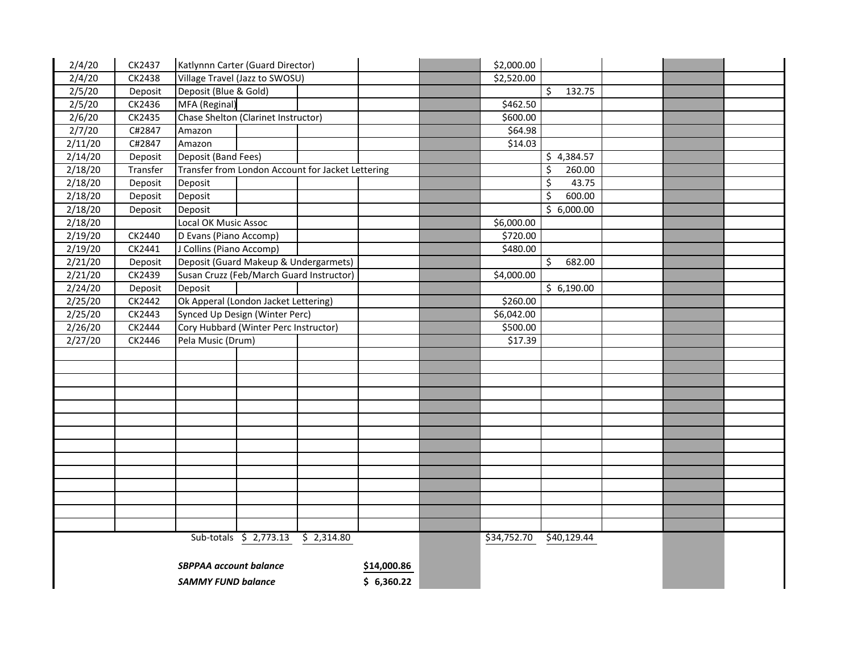| 2/4/20  | CK2437                        | Katlynnn Carter (Guard Director)                  |            | \$2,000.00  |                                 |  |  |
|---------|-------------------------------|---------------------------------------------------|------------|-------------|---------------------------------|--|--|
| 2/4/20  | CK2438                        | Village Travel (Jazz to SWOSU)                    |            | \$2,520.00  |                                 |  |  |
| 2/5/20  | Deposit                       | Deposit (Blue & Gold)                             |            |             | \$<br>132.75                    |  |  |
| 2/5/20  | CK2436                        | MFA (Reginal)                                     |            | \$462.50    |                                 |  |  |
| 2/6/20  | CK2435                        | Chase Shelton (Clarinet Instructor)               |            | \$600.00    |                                 |  |  |
| 2/7/20  | C#2847                        | Amazon                                            |            | \$64.98     |                                 |  |  |
| 2/11/20 | C#2847                        | Amazon                                            |            | \$14.03     |                                 |  |  |
| 2/14/20 | Deposit                       | Deposit (Band Fees)                               |            |             | \$4,384.57                      |  |  |
| 2/18/20 | Transfer                      | Transfer from London Account for Jacket Lettering |            |             | \$<br>260.00                    |  |  |
| 2/18/20 | Deposit                       | Deposit                                           |            |             | $\overline{\varsigma}$<br>43.75 |  |  |
| 2/18/20 | Deposit                       | Deposit                                           |            |             | \$<br>600.00                    |  |  |
| 2/18/20 | Deposit                       | Deposit                                           |            |             | \$6,000.00                      |  |  |
| 2/18/20 |                               | Local OK Music Assoc                              |            | \$6,000.00  |                                 |  |  |
| 2/19/20 | CK2440                        | D Evans (Piano Accomp)                            |            | \$720.00    |                                 |  |  |
| 2/19/20 | CK2441                        | J Collins (Piano Accomp)                          |            | \$480.00    |                                 |  |  |
| 2/21/20 | Deposit                       | Deposit (Guard Makeup & Undergarmets)             |            |             | \$<br>682.00                    |  |  |
| 2/21/20 | CK2439                        | Susan Cruzz (Feb/March Guard Instructor)          |            | \$4,000.00  |                                 |  |  |
| 2/24/20 | Deposit                       | Deposit                                           |            |             | \$6,190.00                      |  |  |
| 2/25/20 | CK2442                        | Ok Apperal (London Jacket Lettering)              |            | \$260.00    |                                 |  |  |
| 2/25/20 | CK2443                        | Synced Up Design (Winter Perc)                    |            | \$6,042.00  |                                 |  |  |
| 2/26/20 | CK2444                        | Cory Hubbard (Winter Perc Instructor)             |            | \$500.00    |                                 |  |  |
| 2/27/20 | CK2446                        | Pela Music (Drum)                                 |            | \$17.39     |                                 |  |  |
|         |                               |                                                   |            |             |                                 |  |  |
|         |                               |                                                   |            |             |                                 |  |  |
|         |                               |                                                   |            |             |                                 |  |  |
|         |                               |                                                   |            |             |                                 |  |  |
|         |                               |                                                   |            |             |                                 |  |  |
|         |                               |                                                   |            |             |                                 |  |  |
|         |                               |                                                   |            |             |                                 |  |  |
|         |                               |                                                   |            |             |                                 |  |  |
|         |                               |                                                   |            |             |                                 |  |  |
|         |                               |                                                   |            |             |                                 |  |  |
|         |                               |                                                   |            |             |                                 |  |  |
|         |                               |                                                   |            |             |                                 |  |  |
|         |                               |                                                   |            |             |                                 |  |  |
|         |                               |                                                   |            |             |                                 |  |  |
|         |                               | Sub-totals \$ 2,773.13<br>\$2,314.80              |            | \$34,752.70 | \$40,129.44                     |  |  |
|         | <b>SBPPAA account balance</b> |                                                   |            |             |                                 |  |  |
|         |                               | <b>SAMMY FUND balance</b>                         | \$6,360.22 |             |                                 |  |  |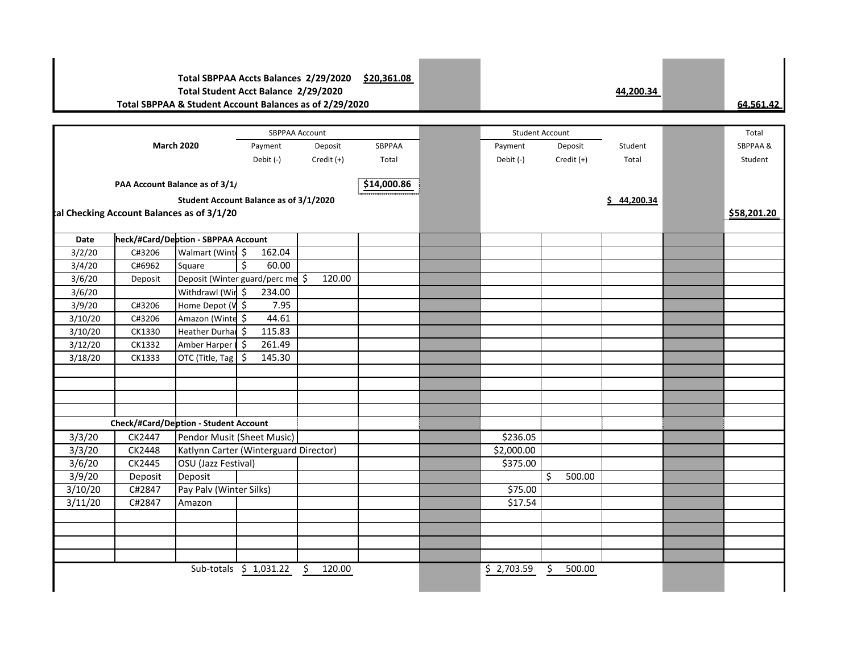## **Total SBPPAA Accts Balances 2/29/2020 \$20,361.08 Total Student Acct Balance 2/29/2020 44,200.34 Total SBPPAA & Student Account Balances as of 2/29/2020 64,561.42**

Total Payment Deposit SBPPAA Payment Deposit Student Seperation SBPPAA & Debit (-) Credit (+) Total Debit (-) Credit (+) Total Student **\$14,000.86 Student Account Balance as of 3/1/2020 \$ 44,200.34 \$58,201.20 Date heck/#Card/Deption - SBPPAA Account**  $3/2/20$  C#3206 Walmart (Winter Supplies)  $3/2/20$  $3/4/20$  C#6962 Square  $\frac{1}{5}$  60.00 3/6/20 Deposit Deposit (Winter guard/perc mealships) \$ 120.00  $3/6/20$  Withdrawl (Win  $\sim$  234.00  $3/9/20$  C#3206 Home Depot (Vinter  $\frac{1}{9}$  7.95  $3/10/20$  C#3206 Amazon (Winter Supplies)  $44.61$ 3/10/20 | CK1330 | Heather Durham \$ 115.83 3/12/20 CK1332 Amber Harper 5 261.49  $3/18/20$  CK1333 OTC (Title, Tag  $\frac{1}{5}$  145.30 **Check/#Card/Deption - Student Account** 3/3/20 CK2447 Pendor Musit (Sheet Music) \$236.05 3/3/20 CK2448 Katlynn Carter (Winterguard Director) \$2,000.00 3/6/20 CK2445 OSU (Jazz Festival) \$375.00 3/9/20 Deposit Deposit \$ 500.00 3/10/20 C#2847 Pay Palv (Winter Silks) \$75.00 3/11/20 C#2847 Amazon \$17.54 Sub-totals \$ 1,031.22 \$ 120.00 **PAA Account Balance as of 3/1/** tal Checking Account Balances as of 3/1/20 SBPPAA Account and Student Account SBPPAA Account **March 2020**